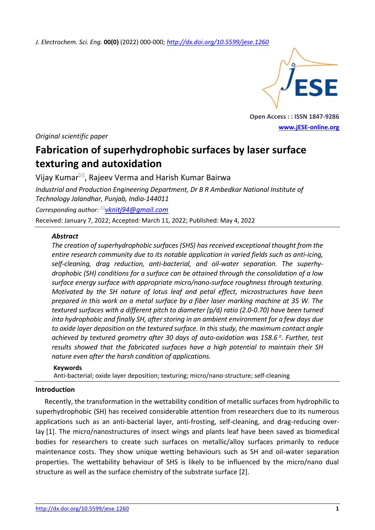*J. Electrochem. Sci. Eng.* **00(0)** (2022) 000-000; *<http://dx.doi.org/10.5599/jese.1260>*



**Open Access : : ISSN 1847-9286 [www.jESE-online.org](http://www.jese-online.org/)**

*Original scientific paper*

# **Fabrication of superhydrophobic surfaces by laser surface texturing and autoxidation**

Vijay Kumar $\mathbb{Z}$ , Rajeev Verma and Harish Kumar Bairwa

*Industrial and Production Engineering Department, Dr B R Ambedkar National Institute of Technology Jalandhar, Punjab, India-144011*

*Corresponding author: [vknitj94@gmail.com](mailto:vknitj94@gmail.com)* Received: January 7, 2022; Accepted: March 11, 2022; Published: May 4, 2022

# *Abstract*

The creation of superhydrophobic surfaces (SHS) has received exceptional thought from the *entire research community due to its notable application in varied fields such as anti-icing, self-cleaning, drag reduction, anti-bacterial, and oil-water separation. The superhydrophobic (SH) conditions for a surface can be attained through the consolidation of a low surface energy surface with appropriate micro/nano-surface roughness through texturing. Motivated by the SH nature of lotus leaf and petal effect, microstructures have been prepared in this work on a metal surface by a fiber laser marking machine at 35 W. The textured surfaces with a different pitch to diameter (*p*/*d*) ratio (2.0-0.70) have been turned into hydrophobic and finally SH, after storing in an ambient environment for a few days due to oxide layer deposition on the textured surface. In this study, the maximum contact angle achieved by textured geometry after 30 days of auto-oxidation was 158.6 <sup>o</sup> . Further, test results showed that the fabricated surfaces have a high potential to maintain their SH nature even after the harsh condition of applications.*

# **Keywords** Anti-bacterial; oxide layer deposition; texturing; micro/nano-structure; self-cleaning

### **Introduction**

Recently, the transformation in the wettability condition of metallic surfaces from hydrophilic to superhydrophobic (SH) has received considerable attention from researchers due to its numerous applications such as an anti-bacterial layer, anti-frosting, self-cleaning, and drag-reducing overlay [1]. The micro/nanostructures of insect wings and plants leaf have been saved as biomedical bodies for researchers to create such surfaces on metallic/alloy surfaces primarily to reduce maintenance costs. They show unique wetting behaviours such as SH and oil-water separation properties. The wettability behaviour of SHS is likely to be influenced by the micro/nano dual structure as well as the surface chemistry of the substrate surface [2].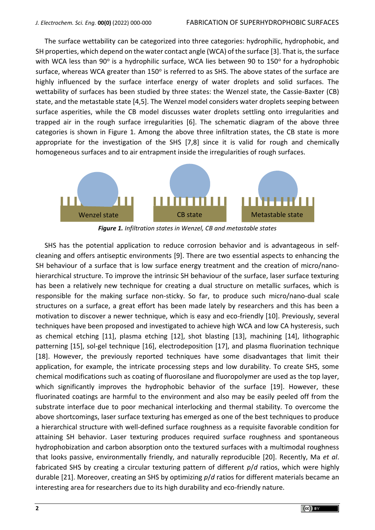The surface wettability can be categorized into three categories: hydrophilic, hydrophobic, and SH properties, which depend on the water contact angle (WCA) of the surface [3]. That is, the surface with WCA less than 90° is a hydrophilic surface, WCA lies between 90 to 150° for a hydrophobic surface, whereas WCA greater than 150 $^{\circ}$  is referred to as SHS. The above states of the surface are highly influenced by the surface interface energy of water droplets and solid surfaces. The wettability of surfaces has been studied by three states: the Wenzel state, the Cassie-Baxter (CB) state, and the metastable state [4,5]. The Wenzel model considers water droplets seeping between surface asperities, while the CB model discusses water droplets settling onto irregularities and trapped air in the rough surface irregularities [6]. The schematic diagram of the above three categories is shown in Figure 1. Among the above three infiltration states, the CB state is more appropriate for the investigation of the SHS [7,8] since it is valid for rough and chemically homogeneous surfaces and to air entrapment inside the irregularities of rough surfaces.



*Figure 1. Infiltration states in Wenzel, CB and metastable states* 

SHS has the potential application to reduce corrosion behavior and is advantageous in selfcleaning and offers antiseptic environments [9]. There are two essential aspects to enhancing the SH behaviour of a surface that is low surface energy treatment and the creation of micro/nanohierarchical structure. To improve the intrinsic SH behaviour of the surface, laser surface texturing has been a relatively new technique for creating a dual structure on metallic surfaces, which is responsible for the making surface non-sticky. So far, to produce such micro/nano-dual scale structures on a surface, a great effort has been made lately by researchers and this has been a motivation to discover a newer technique, which is easy and eco-friendly [10]. Previously, several techniques have been proposed and investigated to achieve high WCA and low CA hysteresis, such as chemical etching [11], plasma etching [12], shot blasting [13], machining [14], lithographic patterning [15], sol-gel technique [16], electrodeposition [17], and plasma fluorination technique [18]. However, the previously reported techniques have some disadvantages that limit their application, for example, the intricate processing steps and low durability. To create SHS, some chemical modifications such as coating of fluorosilane and fluoropolymer are used as the top layer, which significantly improves the hydrophobic behavior of the surface [19]. However, these fluorinated coatings are harmful to the environment and also may be easily peeled off from the substrate interface due to poor mechanical interlocking and thermal stability. To overcome the above shortcomings, laser surface texturing has emerged as one of the best techniques to produce a hierarchical structure with well-defined surface roughness as a requisite favorable condition for attaining SH behavior. Laser texturing produces required surface roughness and spontaneous hydrophobization and carbon absorption onto the textured surfaces with a multimodal roughness that looks passive, environmentally friendly, and naturally reproducible [20]. Recently, Ma *et al*. fabricated SHS by creating a circular texturing pattern of different *p*/*d* ratios, which were highly durable [21]. Moreover, creating an SHS by optimizing *p*/*d* ratios for different materials became an interesting area for researchers due to its high durability and eco-friendly nature.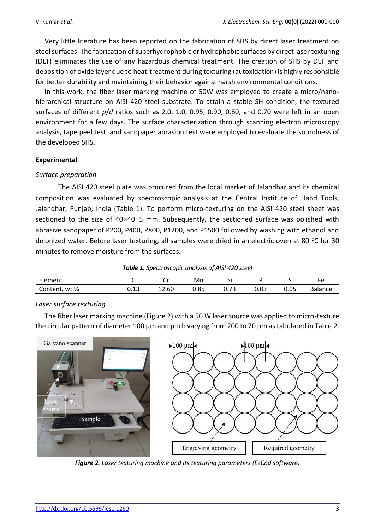Very little literature has been reported on the fabrication of SHS by direct laser treatment on steel surfaces. The fabrication of superhydrophobic or hydrophobic surfaces by direct laser texturing (DLT) eliminates the use of any hazardous chemical treatment. The creation of SHS by DLT and deposition of oxide layer due to heat-treatment during texturing (autoxidation) is highly responsible for better durability and maintaining their behavior against harsh environmental conditions.

In this work, the fiber laser marking machine of 50W was employed to create a micro/nanohierarchical structure on AISI 420 steel substrate. To attain a stable SH condition, the textured surfaces of different *p*/*d* ratios such as 2.0, 1.0, 0.95, 0.90, 0.80, and 0.70 were left in an open environment for a few days. The surface characterization through scanning electron microscopy analysis, tape peel test, and sandpaper abrasion test were employed to evaluate the soundness of the developed SHS.

# **Experimental**

# *Surface preparation*

The AISI 420 steel plate was procured from the local market of Jalandhar and its chemical composition was evaluated by spectroscopic analysis at the Central Institute of Hand Tools, Jalandhar, Punjab, India (Table 1). To perform micro-texturing on the AISI 420 steel sheet was sectioned to the size of  $40\times40\times5$  mm. Subsequently, the sectioned surface was polished with abrasive sandpaper of P200, P400, P800, P1200, and P1500 followed by washing with ethanol and deionized water. Before laser texturing, all samples were dried in an electric oven at 80 °C for 30 minutes to remove moisture from the surfaces.

*Table 1. Spectroscopic analysis of AISI 420 steel*

| - 1<br>Element     |            | ۰.۰<br>ັບ | Mn   | - -<br>ັ                           |      |      |                |
|--------------------|------------|-----------|------|------------------------------------|------|------|----------------|
| wt.%<br>Content, ' | 12<br>ບ.⊥ບ | 12.60     | 0.85 | $\overline{\phantom{a}}$<br>U. / J | 0.03 | 0.05 | <b>Balance</b> |

# *Laser surface texturing*

The fiber laser marking machine (Figure 2) with a 50 W laser source was applied to micro-texture the circular pattern of diameter 100 μm and pitch varying from 200 to 70 μm as tabulated in Table 2.



*Figure 2. Laser texturing machine and its texturing parameters (EzCad software)*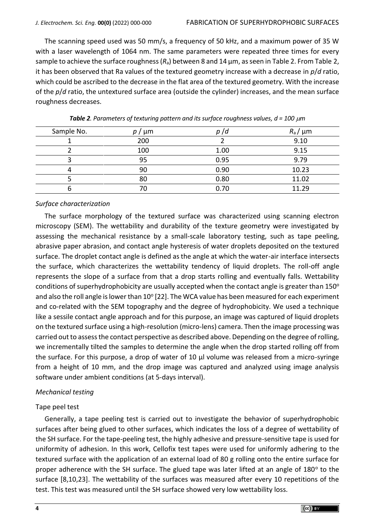The scanning speed used was 50 mm/s, a frequency of 50 kHz, and a maximum power of 35 W with a laser wavelength of 1064 nm. The same parameters were repeated three times for every sample to achieve the surface roughness (*R*a) between 8 and 14 μm, as seen in Table 2. From Table 2, it has been observed that Ra values of the textured geometry increase with a decrease in *p*/*d* ratio, which could be ascribed to the decrease in the flat area of the textured geometry. With the increase of the *p*/*d* ratio, the untextured surface area (outside the cylinder) increases, and the mean surface roughness decreases.

| Sample No. | μm  | p / d | $R_a / \mu m$ |
|------------|-----|-------|---------------|
|            | 200 |       | 9.10          |
|            | 100 | 1.00  | 9.15          |
|            | 95  | 0.95  | 9.79          |
|            | 90  | 0.90  | 10.23         |
|            | 80  | 0.80  | 11.02         |
| O          | 70  | 0.70  | 11.29         |

*Table 2. Parameters of texturing pattern and its surface roughness values, d = 100*  $\mu$ *m* 

#### *Surface characterization*

The surface morphology of the textured surface was characterized using scanning electron microscopy (SEM). The wettability and durability of the texture geometry were investigated by assessing the mechanical resistance by a small-scale laboratory testing, such as tape peeling, abrasive paper abrasion, and contact angle hysteresis of water droplets deposited on the textured surface. The droplet contact angle is defined as the angle at which the water-air interface intersects the surface, which characterizes the wettability tendency of liquid droplets. The roll-off angle represents the slope of a surface from that a drop starts rolling and eventually falls. Wettability conditions of superhydrophobicity are usually accepted when the contact angle is greater than  $150^{\circ}$ and also the roll angle is lower than  $10^{\circ}$  [22]. The WCA value has been measured for each experiment and co-related with the SEM topography and the degree of hydrophobicity. We used a technique like a sessile contact angle approach and for this purpose, an image was captured of liquid droplets on the textured surface using a high-resolution (micro-lens) camera. Then the image processing was carried out to assess the contact perspective as described above. Depending on the degree of rolling, we incrementally tilted the samples to determine the angle when the drop started rolling off from the surface. For this purpose, a drop of water of 10 μl volume was released from a micro-syringe from a height of 10 mm, and the drop image was captured and analyzed using image analysis software under ambient conditions (at 5-days interval).

#### *Mechanical testing*

#### Tape peel test

Generally, a tape peeling test is carried out to investigate the behavior of superhydrophobic surfaces after being glued to other surfaces, which indicates the loss of a degree of wettability of the SH surface. For the tape-peeling test, the highly adhesive and pressure-sensitive tape is used for uniformity of adhesion. In this work, Cellofix test tapes were used for uniformly adhering to the textured surface with the application of an external load of 80 g rolling onto the entire surface for proper adherence with the SH surface. The glued tape was later lifted at an angle of 180° to the surface [8,10,23]. The wettability of the surfaces was measured after every 10 repetitions of the test. This test was measured until the SH surface showed very low wettability loss.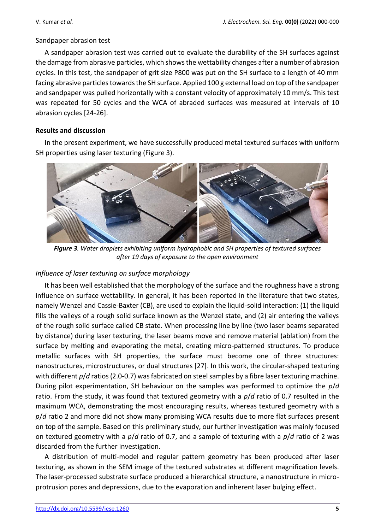### Sandpaper abrasion test

A sandpaper abrasion test was carried out to evaluate the durability of the SH surfaces against the damage from abrasive particles, which shows the wettability changes after a number of abrasion cycles. In this test, the sandpaper of grit size P800 was put on the SH surface to a length of 40 mm facing abrasive particles towards the SH surface. Applied 100 g external load on top of the sandpaper and sandpaper was pulled horizontally with a constant velocity of approximately 10 mm/s. This test was repeated for 50 cycles and the WCA of abraded surfaces was measured at intervals of 10 abrasion cycles [24-26].

# **Results and discussion**

In the present experiment, we have successfully produced metal textured surfaces with uniform SH properties using laser texturing (Figure 3).



*Figure 3. Water droplets exhibiting uniform hydrophobic and SH properties of textured surfaces after 19 days of exposure to the open environment*

# *Influence of laser texturing on surface morphology*

It has been well established that the morphology of the surface and the roughness have a strong influence on surface wettability. In general, it has been reported in the literature that two states, namely Wenzel and Cassie-Baxter (CB), are used to explain the liquid-solid interaction: (1) the liquid fills the valleys of a rough solid surface known as the Wenzel state, and (2) air entering the valleys of the rough solid surface called CB state. When processing line by line (two laser beams separated by distance) during laser texturing, the laser beams move and remove material (ablation) from the surface by melting and evaporating the metal, creating micro-patterned structures. To produce metallic surfaces with SH properties, the surface must become one of three structures: nanostructures, microstructures, or dual structures [27]. In this work, the circular-shaped texturing with different  $p/d$  ratios (2.0-0.7) was fabricated on steel samples by a fibre laser texturing machine. During pilot experimentation, SH behaviour on the samples was performed to optimize the *p*/*d* ratio. From the study, it was found that textured geometry with a *p*/*d* ratio of 0.7 resulted in the maximum WCA, demonstrating the most encouraging results, whereas textured geometry with a *p*/*d* ratio 2 and more did not show many promising WCA results due to more flat surfaces present on top of the sample. Based on this preliminary study, our further investigation was mainly focused on textured geometry with a *p*/*d* ratio of 0.7, and a sample of texturing with a *p*/*d* ratio of 2 was discarded from the further investigation.

A distribution of multi-model and regular pattern geometry has been produced after laser texturing, as shown in the SEM image of the textured substrates at different magnification levels. The laser-processed substrate surface produced a hierarchical structure, a nanostructure in microprotrusion pores and depressions, due to the evaporation and inherent laser bulging effect.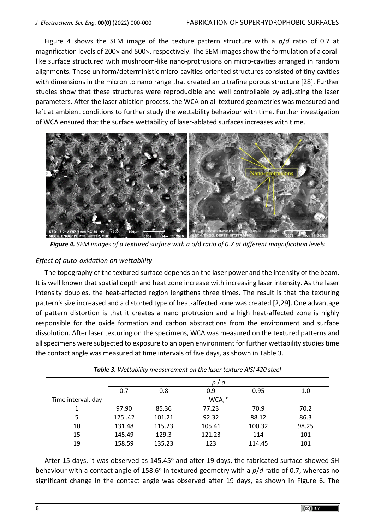Figure 4 shows the SEM image of the texture pattern structure with a *p*/*d* ratio of 0.7 at magnification levels of 200 $\times$  and 500 $\times$ , respectively. The SEM images show the formulation of a corallike surface structured with mushroom-like nano-protrusions on micro-cavities arranged in random alignments. These uniform/deterministic micro-cavities-oriented structures consisted of tiny cavities with dimensions in the micron to nano range that created an ultrafine porous structure [28]. Further studies show that these structures were reproducible and well controllable by adjusting the laser parameters. After the laser ablation process, the WCA on all textured geometries was measured and left at ambient conditions to further study the wettability behaviour with time. Further investigation of WCA ensured that the surface wettability of laser-ablated surfaces increases with time.



*Figure 4. SEM images of a textured surface with a* p*/*d *ratio of 0.7 at different magnification levels*

### *Effect of auto-oxidation on wettability*

The topography of the textured surface depends on the laser power and the intensity of the beam. It is well known that spatial depth and heat zone increase with increasing laser intensity. As the laser intensity doubles, the heat-affected region lengthens three times. The result is that the texturing pattern's size increased and a distorted type of heat-affected zone was created [2,29]. One advantage of pattern distortion is that it creates a nano protrusion and a high heat-affected zone is highly responsible for the oxide formation and carbon abstractions from the environment and surface dissolution. After laser texturing on the specimens, WCA was measured on the textured patterns and all specimens were subjected to exposure to an open environment for further wettability studies time the contact angle was measured at time intervals of five days, as shown in Table 3.

|                    |        |        | p/d               |        |       |
|--------------------|--------|--------|-------------------|--------|-------|
|                    | 0.7    | 0.8    | 0.9               | 0.95   | 1.0   |
| Time interval. day |        |        | WCA, <sup>o</sup> |        |       |
|                    | 97.90  | 85.36  | 77.23             | 70.9   | 70.2  |
|                    | 12542  | 101.21 | 92.32             | 88.12  | 86.3  |
| 10                 | 131.48 | 115.23 | 105.41            | 100.32 | 98.25 |
| 15                 | 145.49 | 129.3  | 121.23            | 114    | 101   |
| 19                 | 158.59 | 135.23 | 123               | 114.45 | 101   |

*Table 3. Wettability measurement on the laser texture AISI 420 steel* 

After 15 days, it was observed as  $145.45^{\circ}$  and after 19 days, the fabricated surface showed SH behaviour with a contact angle of 158.6° in textured geometry with a p/*d* ratio of 0.7, whereas no significant change in the contact angle was observed after 19 days, as shown in Figure 6. The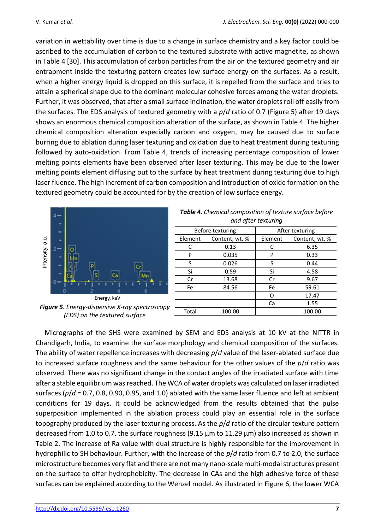variation in wettability over time is due to a change in surface chemistry and a key factor could be ascribed to the accumulation of carbon to the textured substrate with active magnetite, as shown in Table 4 [30]. This accumulation of carbon particles from the air on the textured geometry and air entrapment inside the texturing pattern creates low surface energy on the surfaces. As a result, when a higher energy liquid is dropped on this surface, it is repelled from the surface and tries to attain a spherical shape due to the dominant molecular cohesive forces among the water droplets. Further, it was observed, that after a small surface inclination, the water droplets roll off easily from the surfaces. The EDS analysis of textured geometry with a *p*/*d* ratio of 0.7 (Figure 5) after 19 days shows an enormous chemical composition alteration of the surface, as shown in Table 4. The higher chemical composition alteration especially carbon and oxygen, may be caused due to surface burring due to ablation during laser texturing and oxidation due to heat treatment during texturing followed by auto-oxidation. From Table 4, trends of increasing percentage composition of lower melting points elements have been observed after laser texturing. This may be due to the lower melting points element diffusing out to the surface by heat treatment during texturing due to high laser fluence. The high increment of carbon composition and introduction of oxide formation on the textured geometry could be accounted for by the creation of low surface energy.



*Figure 5. Energy-dispersive X-ray spectroscopy (EDS) on the textured surface*

| Table 4. Chemical composition of texture surface before<br>and after texturing |                |                 |                |  |  |
|--------------------------------------------------------------------------------|----------------|-----------------|----------------|--|--|
| Before texturing                                                               |                | After texturing |                |  |  |
| Element                                                                        | Content, wt. % | Element         | Content, wt. % |  |  |
| C                                                                              | 0.13           | C               | 6.35           |  |  |
| P                                                                              | 0.035          | P               | 0.33           |  |  |
| S                                                                              | 0.026          | S               | 0.44           |  |  |
| Si                                                                             | 0.59           | Si              | 4.58           |  |  |
| Cr                                                                             | 13.68          | Cr              | 9.67           |  |  |
| Fe                                                                             | 84.56          | Fe              | 59.61          |  |  |
|                                                                                |                | O               | 17.47          |  |  |
|                                                                                |                | Ca              | 1.55           |  |  |
| Total                                                                          | 100.00         |                 | 100.00         |  |  |

Micrographs of the SHS were examined by SEM and EDS analysis at 10 kV at the NITTR in Chandigarh, India, to examine the surface morphology and chemical composition of the surfaces. The ability of water repellence increases with decreasing *p*/*d* value of the laser-ablated surface due to increased surface roughness and the same behaviour for the other values of the *p*/*d* ratio was observed. There was no significant change in the contact angles of the irradiated surface with time after a stable equilibrium was reached. The WCA of water droplets was calculated on laser irradiated surfaces (*p*/*d* = 0.7, 0.8, 0.90, 0.95, and 1.0) ablated with the same laser fluence and left at ambient conditions for 19 days. It could be acknowledged from the results obtained that the pulse superposition implemented in the ablation process could play an essential role in the surface topography produced by the laser texturing process. As the *p*/*d* ratio of the circular texture pattern decreased from 1.0 to 0.7, the surface roughness (9.15  $\mu$ m to 11.29  $\mu$ m) also increased as shown in Table 2. The increase of Ra value with dual structure is highly responsible for the improvement in hydrophilic to SH behaviour. Further, with the increase of the *p*/*d* ratio from 0.7 to 2.0, the surface microstructure becomes very flat and there are not many nano-scale multi-modal structures present on the surface to offer hydrophobicity. The decrease in CAs and the high adhesive force of these surfaces can be explained according to the Wenzel model. As illustrated in Figure 6, the lower WCA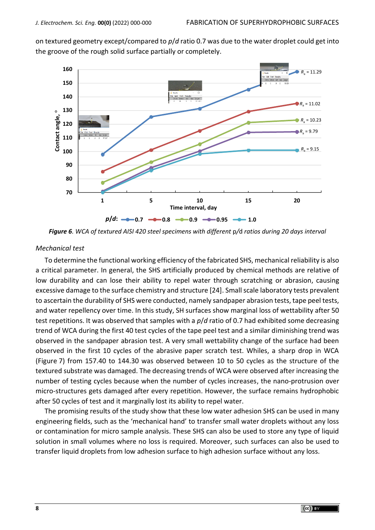on textured geometry except/compared to *p*/*d* ratio 0.7 was due to the water droplet could get into the groove of the rough solid surface partially or completely.



*Figure 6. WCA of textured AISI 420 steel specimens with different* p*/*d *ratios during 20 days interval*

#### *Mechanical test*

To determine the functional working efficiency of the fabricated SHS, mechanical reliability is also a critical parameter. In general, the SHS artificially produced by chemical methods are relative of low durability and can lose their ability to repel water through scratching or abrasion, causing excessive damage to the surface chemistry and structure [24]. Small scale laboratory tests prevalent to ascertain the durability of SHS were conducted, namely sandpaper abrasion tests, tape peel tests, and water repellency over time. In this study, SH surfaces show marginal loss of wettability after 50 test repetitions. It was observed that samples with a *p*/*d* ratio of 0.7 had exhibited some decreasing trend of WCA during the first 40 test cycles of the tape peel test and a similar diminishing trend was observed in the sandpaper abrasion test. A very small wettability change of the surface had been observed in the first 10 cycles of the abrasive paper scratch test. Whiles, a sharp drop in WCA (Figure 7) from 157.40 to 144.30 was observed between 10 to 50 cycles as the structure of the textured substrate was damaged. The decreasing trends of WCA were observed after increasing the number of testing cycles because when the number of cycles increases, the nano-protrusion over micro-structures gets damaged after every repetition. However, the surface remains hydrophobic after 50 cycles of test and it marginally lost its ability to repel water.

The promising results of the study show that these low water adhesion SHS can be used in many engineering fields, such as the 'mechanical hand' to transfer small water droplets without any loss or contamination for micro sample analysis. These SHS can also be used to store any type of liquid solution in small volumes where no loss is required. Moreover, such surfaces can also be used to transfer liquid droplets from low adhesion surface to high adhesion surface without any loss.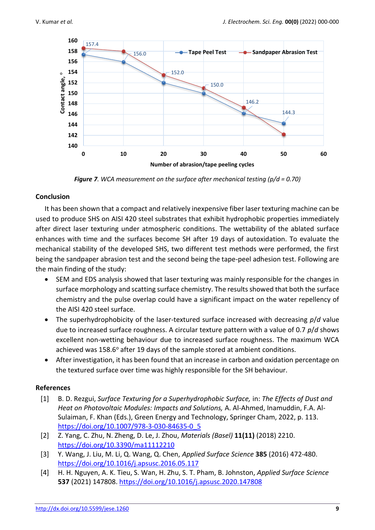

*Figure 7. WCA measurement on the surface after mechanical testing (p/d = 0.70)*

# **Conclusion**

It has been shown that a compact and relatively inexpensive fiber laser texturing machine can be used to produce SHS on AISI 420 steel substrates that exhibit hydrophobic properties immediately after direct laser texturing under atmospheric conditions. The wettability of the ablated surface enhances with time and the surfaces become SH after 19 days of autoxidation. To evaluate the mechanical stability of the developed SHS, two different test methods were performed, the first being the sandpaper abrasion test and the second being the tape-peel adhesion test. Following are the main finding of the study:

- SEM and EDS analysis showed that laser texturing was mainly responsible for the changes in surface morphology and scatting surface chemistry. The results showed that both the surface chemistry and the pulse overlap could have a significant impact on the water repellency of the AISI 420 steel surface.
- The superhydrophobicity of the laser-textured surface increased with decreasing *p*/*d* value due to increased surface roughness. A circular texture pattern with a value of 0.7 *p*/*d* shows excellent non-wetting behaviour due to increased surface roughness. The maximum WCA achieved was  $158.6^{\circ}$  after 19 days of the sample stored at ambient conditions.
- After investigation, it has been found that an increase in carbon and oxidation percentage on the textured surface over time was highly responsible for the SH behaviour.

# **References**

- [1] B. D. Rezgui, *Surface Texturing for a Superhydrophobic Surface,* in: *The Effects of Dust and Heat on Photovoltaic Modules: Impacts and Solutions,* A. Al-Ahmed, Inamuddin, F.A. Al-Sulaiman, F. Khan (Eds.), Green Energy and Technology, Springer Cham, 2022, p. 113. [https://doi.org/10.1007/978-3-030-84635-0\\_5](https://doi.org/10.1007/978-3-030-84635-0_5)
- [2] Z. Yang, C. Zhu, N. Zheng, D. Le, J. Zhou, *Materials (Basel)* **11(11)** (2018) 2210. <https://doi.org/10.3390/ma11112210>
- [3] Y. Wang, J. Liu, M. Li, Q. Wang, Q. Chen, *Applied Surface Science* **385** (2016) 472-480. <https://doi.org/10.1016/j.apsusc.2016.05.117>
- [4] H. H. Nguyen, A. K. Tieu, S. Wan, H. Zhu, S. T. Pham, B. Johnston, *Applied Surface Science* **537** (2021) 147808.<https://doi.org/10.1016/j.apsusc.2020.147808>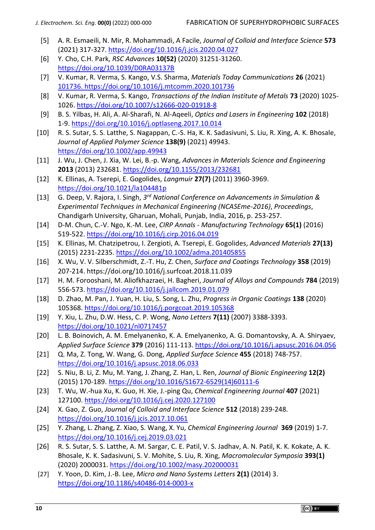- [5] A. R. Esmaeili, N. Mir, R. Mohammadi, A Facile, *Journal of Colloid and Interface Science* **573**  (2021) 317-327.<https://doi.org/10.1016/j.jcis.2020.04.027>
- [6] Y. Cho, C.H. Park, *RSC Advances* **10(52)** (2020) 31251-31260. <https://doi.org/10.1039/D0RA03137B>
- [7] V. Kumar, R. Verma, S. Kango, V.S. Sharma, *Materials Today Communications* **26** (2021) [101736. https://doi.org/10.1016/j.mtcomm.2020.101736](file:///D:/Zoran/Downloads/101736.%20https:/doi.org/10.1016/j.mtcomm.2020.101736)
- [8] V. Kumar, R. Verma, S. Kango, *Transactions of the Indian Institute of Metals* **73** (2020) 1025- 1026.<https://doi.org/10.1007/s12666-020-01918-8>
- [9] B. S. Yilbas, H. Ali, A. Al-Sharafi, N. Al-Aqeeli, *Optics and Lasers in Engineering* **102** (2018) 1-9. <https://doi.org/10.1016/j.optlaseng.2017.10.014>
- [10] R. S. Sutar, S. S. Latthe, S. Nagappan, C.-S. Ha, K. K. Sadasivuni, S. Liu, R. Xing, A. K. Bhosale, *Journal of Applied Polymer Science* **138(9)** (2021) 49943. <https://doi.org/10.1002/app.49943>
- [11] J. Wu, J. Chen, J. Xia, W. Lei, B.-p. Wang, *Advances in Materials Science and Engineering* **2013** (2013) 232681. <https://doi.org/10.1155/2013/232681>
- [12] K. Ellinas, A. Tserepi, E. Gogolides, *Langmuir* **27(7)** (2011) 3960-3969. <https://doi.org/10.1021/la104481p>
- [13] G. Deep, V. Rajora, I. Singh, *3 rd National Conference on Advancements in Simulation & Experimental Techniques in Mechanical Engineering (NCASEme-2016)*, *Proceedings*, Chandigarh University, Gharuan, Mohali, Punjab, India, 2016, p. 253-257.
- [14] D-M. Chun, C.-V. Ngo, K.-M. Lee, *CIRP Annals - Manufacturing Technology* **65(1)** (2016) 519-522.<https://doi.org/10.1016/j.cirp.2016.04.019>
- [15] K. Ellinas, M. Chatzipetrou, I. Zergioti, A. Tserepi, E. Gogolides, *Advanced Materials* **27(13)** (2015) 2231-2235.<https://doi.org/10.1002/adma.201405855>
- [16] X. Wu, V. V. Silberschmidt, Z.-T. Hu, Z. Chen, *Surface and Coatings Technology* **358** (2019) 207-214. https://doi.org/10.1016/j.surfcoat.2018.11.039
- [17] H. M. Forooshani, M. Aliofkhazraei, H. Bagheri, *Journal of Alloys and Compounds* **784** (2019) 556-573.<https://doi.org/10.1016/j.jallcom.2019.01.079>
- [18] D. Zhao, M. Pan, J. Yuan, H. Liu, S. Song, L. Zhu, *Progress in Organic Coatings* **138** (2020) 105368.<https://doi.org/10.1016/j.porgcoat.2019.105368>
- [19] Y. Xiu, L. Zhu, D.W. Hess, C. P. Wong, *Nano Letters* **7(11)** (2007) 3388-3393. <https://doi.org/10.1021/nl0717457>
- [20] L. B. Boinovich, A. M. Emelyanenko, K. A. Emelyanenko, A. G. Domantovsky, A. A. Shiryaev, *Applied Surface Science* **379** (2016) 111-113.<https://doi.org/10.1016/j.apsusc.2016.04.056>
- [21] Q. Ma, Z. Tong, W. Wang, G. Dong, *Applied Surface Science* **455** (2018) 748-757. <https://doi.org/10.1016/j.apsusc.2018.06.033>
- [22] S. Niu, B. Li, Z. Mu, M. Yang, J. Zhang, Z. Han, L. Ren, *Journal of Bionic Engineering* **12(2)** (2015) 170-189. [https://doi.org/10.1016/S1672-6529\(14\)60111-6](https://doi.org/10.1016/S1672-6529(14)60111-6)
- [23] T. Wu, W.-hua Xu, K. Guo, H. Xie, J.-ping Qu, *Chemical Engineering Journal* **407** (2021) 127100.<https://doi.org/10.1016/j.cej.2020.127100>
- [24] X. Gao, Z. Guo, *Journal of Colloid and Interface Science* **512** (2018) 239-248. <https://doi.org/10.1016/j.jcis.2017.10.061>
- [25] Y. Zhang, L. Zhang, Z. Xiao, S. Wang, X. Yu, *Chemical Engineering Journal* **369** (2019) 1-7. <https://doi.org/10.1016/j.cej.2019.03.021>
- [26] R. S. Sutar, S. S. Latthe, A. M. Sargar, C. E. Patil, V. S. Jadhav, A. N. Patil, K. K. Kokate, A. K. Bhosale, K. K. Sadasivuni, S. V. Mohite, S. Liu, R. Xing, *Macromolecular Symposia* **393(1)**  (2020) 2000031. <https://doi.org/10.1002/masy.202000031>
- [27] Y. Yoon, D. Kim, J.-B. Lee, *Micro and Nano Systems Letters* **2(1)** (2014) 3. <https://doi.org/10.1186/s40486-014-0003-x>